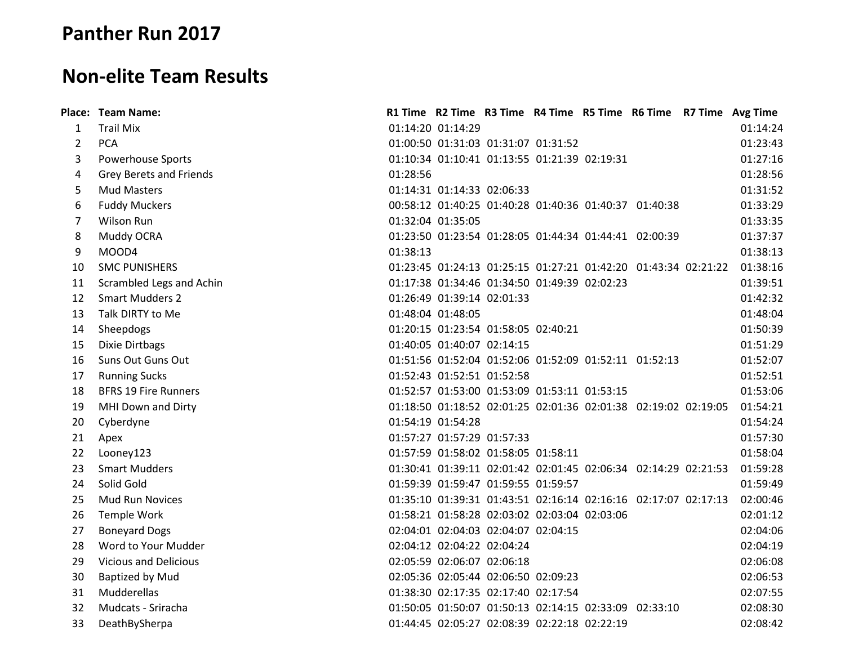## **Panther Run 2017**

## **Non-elite Team Results**

|                | Place: Team Name:            |          |                            |                                              |  | R1 Time R2 Time R3 Time R4 Time R5 Time R6 Time R7 Time Avg Time |          |
|----------------|------------------------------|----------|----------------------------|----------------------------------------------|--|------------------------------------------------------------------|----------|
| 1              | <b>Trail Mix</b>             |          | 01:14:20 01:14:29          |                                              |  |                                                                  | 01:14:24 |
| $\overline{2}$ | <b>PCA</b>                   |          |                            | 01:00:50 01:31:03 01:31:07 01:31:52          |  |                                                                  | 01:23:43 |
| 3              | Powerhouse Sports            |          |                            | 01:10:34 01:10:41 01:13:55 01:21:39 02:19:31 |  |                                                                  | 01:27:16 |
| 4              | Grey Berets and Friends      | 01:28:56 |                            |                                              |  |                                                                  | 01:28:56 |
| 5              | <b>Mud Masters</b>           |          |                            | 01:14:31 01:14:33 02:06:33                   |  |                                                                  | 01:31:52 |
| 6              | <b>Fuddy Muckers</b>         |          |                            |                                              |  | 00:58:12 01:40:25 01:40:28 01:40:36 01:40:37 01:40:38            | 01:33:29 |
| $\overline{7}$ | Wilson Run                   |          | 01:32:04 01:35:05          |                                              |  |                                                                  | 01:33:35 |
| 8              | Muddy OCRA                   |          |                            |                                              |  | 01:23:50 01:23:54 01:28:05 01:44:34 01:44:41 02:00:39            | 01:37:37 |
| 9              | MOOD4                        | 01:38:13 |                            |                                              |  |                                                                  | 01:38:13 |
| 10             | <b>SMC PUNISHERS</b>         |          |                            |                                              |  | 01:23:45 01:24:13 01:25:15 01:27:21 01:42:20 01:43:34 02:21:22   | 01:38:16 |
| 11             | Scrambled Legs and Achin     |          |                            | 01:17:38 01:34:46 01:34:50 01:49:39 02:02:23 |  |                                                                  | 01:39:51 |
| 12             | <b>Smart Mudders 2</b>       |          | 01:26:49 01:39:14 02:01:33 |                                              |  |                                                                  | 01:42:32 |
| 13             | Talk DIRTY to Me             |          | 01:48:04 01:48:05          |                                              |  |                                                                  | 01:48:04 |
| 14             | Sheepdogs                    |          |                            | 01:20:15 01:23:54 01:58:05 02:40:21          |  |                                                                  | 01:50:39 |
| 15             | Dixie Dirtbags               |          |                            | 01:40:05 01:40:07 02:14:15                   |  |                                                                  | 01:51:29 |
| 16             | Suns Out Guns Out            |          |                            |                                              |  | 01:51:56 01:52:04 01:52:06 01:52:09 01:52:11 01:52:13            | 01:52:07 |
| 17             | <b>Running Sucks</b>         |          | 01:52:43 01:52:51 01:52:58 |                                              |  |                                                                  | 01:52:51 |
| 18             | <b>BFRS 19 Fire Runners</b>  |          |                            | 01:52:57 01:53:00 01:53:09 01:53:11 01:53:15 |  |                                                                  | 01:53:06 |
| 19             | MHI Down and Dirty           |          |                            |                                              |  | 01:18:50 01:18:52 02:01:25 02:01:36 02:01:38 02:19:02 02:19:05   | 01:54:21 |
| 20             | Cyberdyne                    |          | 01:54:19 01:54:28          |                                              |  |                                                                  | 01:54:24 |
| 21             | Apex                         |          |                            | 01:57:27 01:57:29 01:57:33                   |  |                                                                  | 01:57:30 |
| 22             | Looney123                    |          |                            | 01:57:59 01:58:02 01:58:05 01:58:11          |  |                                                                  | 01:58:04 |
| 23             | <b>Smart Mudders</b>         |          |                            |                                              |  | 01:30:41 01:39:11 02:01:42 02:01:45 02:06:34 02:14:29 02:21:53   | 01:59:28 |
| 24             | Solid Gold                   |          |                            | 01:59:39 01:59:47 01:59:55 01:59:57          |  |                                                                  | 01:59:49 |
| 25             | <b>Mud Run Novices</b>       |          |                            |                                              |  | 01:35:10 01:39:31 01:43:51 02:16:14 02:16:16 02:17:07 02:17:13   | 02:00:46 |
| 26             | Temple Work                  |          |                            | 01:58:21 01:58:28 02:03:02 02:03:04 02:03:06 |  |                                                                  | 02:01:12 |
| 27             | <b>Boneyard Dogs</b>         |          |                            | 02:04:01 02:04:03 02:04:07 02:04:15          |  |                                                                  | 02:04:06 |
| 28             | Word to Your Mudder          |          |                            | 02:04:12 02:04:22 02:04:24                   |  |                                                                  | 02:04:19 |
| 29             | <b>Vicious and Delicious</b> |          |                            | 02:05:59 02:06:07 02:06:18                   |  |                                                                  | 02:06:08 |
| 30             | <b>Baptized by Mud</b>       |          |                            | 02:05:36 02:05:44 02:06:50 02:09:23          |  |                                                                  | 02:06:53 |
| 31             | Mudderellas                  |          |                            | 01:38:30 02:17:35 02:17:40 02:17:54          |  |                                                                  | 02:07:55 |
| 32             | Mudcats - Sriracha           |          |                            |                                              |  | 01:50:05 01:50:07 01:50:13 02:14:15 02:33:09 02:33:10            | 02:08:30 |
| 33             | DeathBySherpa                |          |                            | 01:44:45 02:05:27 02:08:39 02:22:18 02:22:19 |  |                                                                  | 02:08:42 |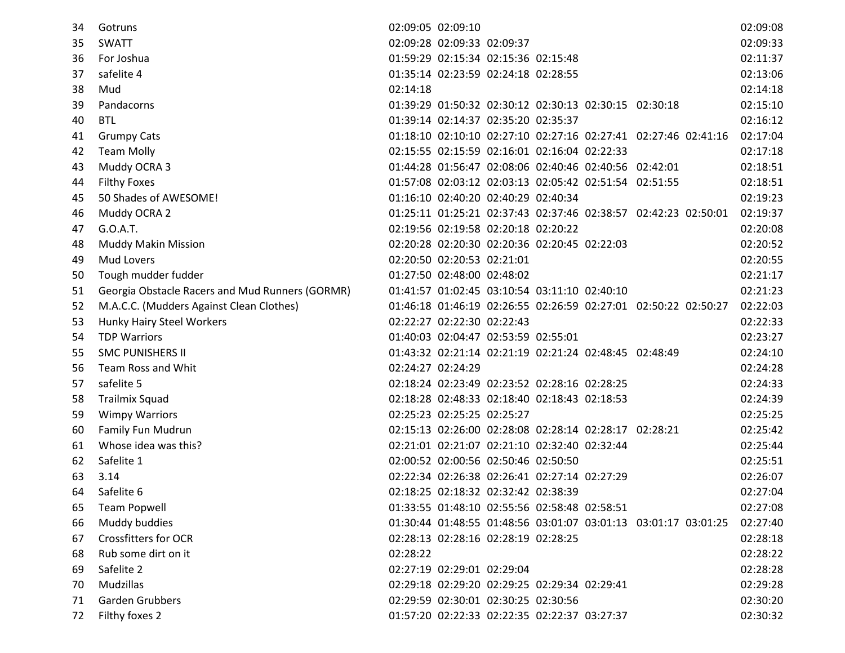| 34 | Gotruns                                         |          | 02:09:05 02:09:10                            |  |                                                                | 02:09:08 |
|----|-------------------------------------------------|----------|----------------------------------------------|--|----------------------------------------------------------------|----------|
| 35 | <b>SWATT</b>                                    |          | 02:09:28 02:09:33 02:09:37                   |  |                                                                | 02:09:33 |
| 36 | For Joshua                                      |          | 01:59:29 02:15:34 02:15:36 02:15:48          |  |                                                                | 02:11:37 |
| 37 | safelite 4                                      |          | 01:35:14 02:23:59 02:24:18 02:28:55          |  |                                                                | 02:13:06 |
| 38 | Mud                                             | 02:14:18 |                                              |  |                                                                | 02:14:18 |
| 39 | Pandacorns                                      |          |                                              |  | 01:39:29 01:50:32 02:30:12 02:30:13 02:30:15 02:30:18          | 02:15:10 |
| 40 | <b>BTL</b>                                      |          | 01:39:14 02:14:37 02:35:20 02:35:37          |  |                                                                | 02:16:12 |
| 41 | <b>Grumpy Cats</b>                              |          |                                              |  | 01:18:10 02:10:10 02:27:10 02:27:16 02:27:41 02:27:46 02:41:16 | 02:17:04 |
| 42 | <b>Team Molly</b>                               |          | 02:15:55 02:15:59 02:16:01 02:16:04 02:22:33 |  |                                                                | 02:17:18 |
| 43 | Muddy OCRA 3                                    |          |                                              |  | 01:44:28 01:56:47 02:08:06 02:40:46 02:40:56 02:42:01          | 02:18:51 |
| 44 | <b>Filthy Foxes</b>                             |          |                                              |  | 01:57:08 02:03:12 02:03:13 02:05:42 02:51:54 02:51:55          | 02:18:51 |
| 45 | 50 Shades of AWESOME!                           |          | 01:16:10 02:40:20 02:40:29 02:40:34          |  |                                                                | 02:19:23 |
| 46 | Muddy OCRA 2                                    |          |                                              |  | 01:25:11 01:25:21 02:37:43 02:37:46 02:38:57 02:42:23 02:50:01 | 02:19:37 |
| 47 | G.O.A.T.                                        |          | 02:19:56 02:19:58 02:20:18 02:20:22          |  |                                                                | 02:20:08 |
| 48 | <b>Muddy Makin Mission</b>                      |          | 02:20:28 02:20:30 02:20:36 02:20:45 02:22:03 |  |                                                                | 02:20:52 |
| 49 | Mud Lovers                                      |          | 02:20:50 02:20:53 02:21:01                   |  |                                                                | 02:20:55 |
| 50 | Tough mudder fudder                             |          | 01:27:50 02:48:00 02:48:02                   |  |                                                                | 02:21:17 |
| 51 | Georgia Obstacle Racers and Mud Runners (GORMR) |          | 01:41:57 01:02:45 03:10:54 03:11:10 02:40:10 |  |                                                                | 02:21:23 |
| 52 | M.A.C.C. (Mudders Against Clean Clothes)        |          |                                              |  | 01:46:18 01:46:19 02:26:55 02:26:59 02:27:01 02:50:22 02:50:27 | 02:22:03 |
| 53 | Hunky Hairy Steel Workers                       |          | 02:22:27 02:22:30 02:22:43                   |  |                                                                | 02:22:33 |
| 54 | <b>TDP Warriors</b>                             |          | 01:40:03 02:04:47 02:53:59 02:55:01          |  |                                                                | 02:23:27 |
| 55 | <b>SMC PUNISHERS II</b>                         |          |                                              |  | 01:43:32 02:21:14 02:21:19 02:21:24 02:48:45 02:48:49          | 02:24:10 |
| 56 | Team Ross and Whit                              |          | 02:24:27 02:24:29                            |  |                                                                | 02:24:28 |
| 57 | safelite 5                                      |          | 02:18:24 02:23:49 02:23:52 02:28:16 02:28:25 |  |                                                                | 02:24:33 |
| 58 | <b>Trailmix Squad</b>                           |          | 02:18:28 02:48:33 02:18:40 02:18:43 02:18:53 |  |                                                                | 02:24:39 |
| 59 | <b>Wimpy Warriors</b>                           |          | 02:25:23 02:25:25 02:25:27                   |  |                                                                | 02:25:25 |
| 60 | Family Fun Mudrun                               |          |                                              |  | 02:15:13 02:26:00 02:28:08 02:28:14 02:28:17 02:28:21          | 02:25:42 |
| 61 | Whose idea was this?                            |          | 02:21:01 02:21:07 02:21:10 02:32:40 02:32:44 |  |                                                                | 02:25:44 |
| 62 | Safelite 1                                      |          | 02:00:52 02:00:56 02:50:46 02:50:50          |  |                                                                | 02:25:51 |
| 63 | 3.14                                            |          | 02:22:34 02:26:38 02:26:41 02:27:14 02:27:29 |  |                                                                | 02:26:07 |
| 64 | Safelite 6                                      |          | 02:18:25 02:18:32 02:32:42 02:38:39          |  |                                                                | 02:27:04 |
| 65 | <b>Team Popwell</b>                             |          | 01:33:55 01:48:10 02:55:56 02:58:48 02:58:51 |  |                                                                | 02:27:08 |
| 66 | Muddy buddies                                   |          |                                              |  | 01:30:44 01:48:55 01:48:56 03:01:07 03:01:13 03:01:17 03:01:25 | 02:27:40 |
| 67 | <b>Crossfitters for OCR</b>                     |          | 02:28:13 02:28:16 02:28:19 02:28:25          |  |                                                                | 02:28:18 |
| 68 | Rub some dirt on it                             | 02:28:22 |                                              |  |                                                                | 02:28:22 |
| 69 | Safelite 2                                      |          | 02:27:19 02:29:01 02:29:04                   |  |                                                                | 02:28:28 |
| 70 | Mudzillas                                       |          | 02:29:18 02:29:20 02:29:25 02:29:34 02:29:41 |  |                                                                | 02:29:28 |
| 71 | <b>Garden Grubbers</b>                          |          | 02:29:59 02:30:01 02:30:25 02:30:56          |  |                                                                | 02:30:20 |
| 72 | Filthy foxes 2                                  |          | 01:57:20 02:22:33 02:22:35 02:22:37 03:27:37 |  |                                                                | 02:30:32 |
|    |                                                 |          |                                              |  |                                                                |          |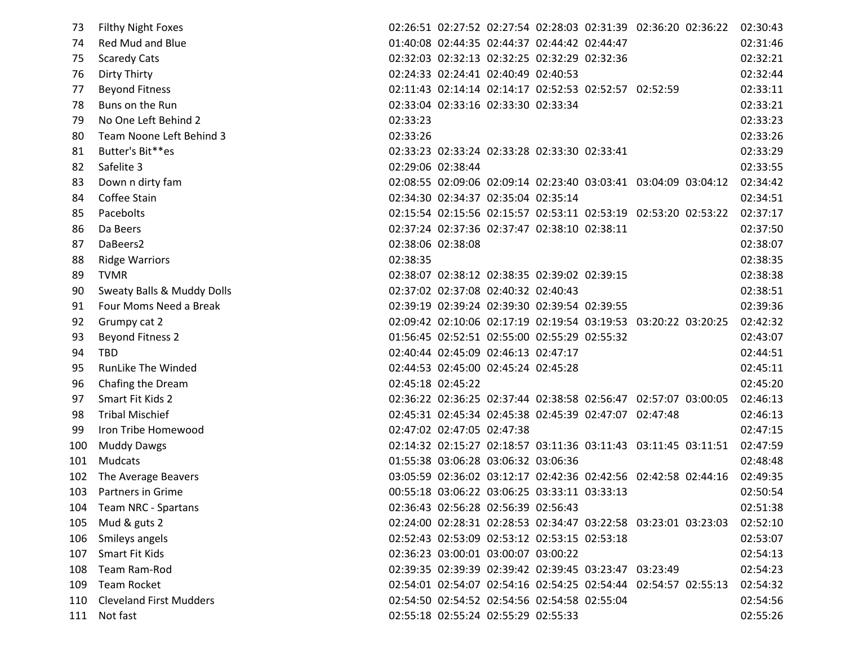| 73  | Filthy Night Foxes             |          |                                              |  |                                                       | 02:26:51 02:27:52 02:27:54 02:28:03 02:31:39 02:36:20 02:36:22          | 02:30:43 |
|-----|--------------------------------|----------|----------------------------------------------|--|-------------------------------------------------------|-------------------------------------------------------------------------|----------|
| 74  | <b>Red Mud and Blue</b>        |          | 01:40:08 02:44:35 02:44:37 02:44:42 02:44:47 |  |                                                       |                                                                         | 02:31:46 |
| 75  | <b>Scaredy Cats</b>            |          | 02:32:03 02:32:13 02:32:25 02:32:29 02:32:36 |  |                                                       |                                                                         | 02:32:21 |
| 76  | <b>Dirty Thirty</b>            |          | 02:24:33 02:24:41 02:40:49 02:40:53          |  |                                                       |                                                                         | 02:32:44 |
| 77  | <b>Beyond Fitness</b>          |          |                                              |  | 02:11:43 02:14:14 02:14:17 02:52:53 02:52:57 02:52:59 |                                                                         | 02:33:11 |
| 78  | Buns on the Run                |          | 02:33:04 02:33:16 02:33:30 02:33:34          |  |                                                       |                                                                         | 02:33:21 |
| 79  | No One Left Behind 2           | 02:33:23 |                                              |  |                                                       |                                                                         | 02:33:23 |
| 80  | Team Noone Left Behind 3       | 02:33:26 |                                              |  |                                                       |                                                                         | 02:33:26 |
| 81  | Butter's Bit**es               |          | 02:33:23 02:33:24 02:33:28 02:33:30 02:33:41 |  |                                                       |                                                                         | 02:33:29 |
| 82  | Safelite 3                     |          | 02:29:06 02:38:44                            |  |                                                       |                                                                         | 02:33:55 |
| 83  | Down n dirty fam               |          |                                              |  |                                                       | 02:08:55 02:09:06 02:09:14 02:23:40 03:03:41 03:04:09 03:04:12          | 02:34:42 |
| 84  | Coffee Stain                   |          | 02:34:30 02:34:37 02:35:04 02:35:14          |  |                                                       |                                                                         | 02:34:51 |
| 85  | Pacebolts                      |          |                                              |  |                                                       | 02:15:54 02:15:56 02:15:57 02:53:11 02:53:19 02:53:20 02:53:22          | 02:37:17 |
| 86  | Da Beers                       |          | 02:37:24 02:37:36 02:37:47 02:38:10 02:38:11 |  |                                                       |                                                                         | 02:37:50 |
| 87  | DaBeers2                       |          | 02:38:06 02:38:08                            |  |                                                       |                                                                         | 02:38:07 |
| 88  | <b>Ridge Warriors</b>          | 02:38:35 |                                              |  |                                                       |                                                                         | 02:38:35 |
| 89  | <b>TVMR</b>                    |          | 02:38:07 02:38:12 02:38:35 02:39:02 02:39:15 |  |                                                       |                                                                         | 02:38:38 |
| 90  | Sweaty Balls & Muddy Dolls     |          | 02:37:02 02:37:08 02:40:32 02:40:43          |  |                                                       |                                                                         | 02:38:51 |
| 91  | Four Moms Need a Break         |          | 02:39:19 02:39:24 02:39:30 02:39:54 02:39:55 |  |                                                       |                                                                         | 02:39:36 |
| 92  | Grumpy cat 2                   |          |                                              |  |                                                       | 02:09:42 02:10:06 02:17:19 02:19:54 03:19:53 03:20:22 03:20:25          | 02:42:32 |
| 93  | <b>Beyond Fitness 2</b>        |          | 01:56:45 02:52:51 02:55:00 02:55:29 02:55:32 |  |                                                       |                                                                         | 02:43:07 |
| 94  | <b>TBD</b>                     |          | 02:40:44 02:45:09 02:46:13 02:47:17          |  |                                                       |                                                                         | 02:44:51 |
| 95  | RunLike The Winded             |          | 02:44:53 02:45:00 02:45:24 02:45:28          |  |                                                       |                                                                         | 02:45:11 |
| 96  | Chafing the Dream              |          | 02:45:18 02:45:22                            |  |                                                       |                                                                         | 02:45:20 |
| 97  | Smart Fit Kids 2               |          |                                              |  |                                                       | 02:36:22 02:36:25 02:37:44 02:38:58 02:56:47 02:57:07 03:00:05          | 02:46:13 |
| 98  | <b>Tribal Mischief</b>         |          |                                              |  | 02:45:31 02:45:34 02:45:38 02:45:39 02:47:07 02:47:48 |                                                                         | 02:46:13 |
| 99  | Iron Tribe Homewood            |          | 02:47:02 02:47:05 02:47:38                   |  |                                                       |                                                                         | 02:47:15 |
| 100 | <b>Muddy Dawgs</b>             |          |                                              |  |                                                       | 02:14:32 02:15:27 02:18:57 03:11:36 03:11:43 03:11:45 03:11:51 02:47:59 |          |
| 101 | Mudcats                        |          | 01:55:38 03:06:28 03:06:32 03:06:36          |  |                                                       |                                                                         | 02:48:48 |
| 102 | The Average Beavers            |          |                                              |  |                                                       | 03:05:59 02:36:02 03:12:17 02:42:36 02:42:56 02:42:58 02:44:16          | 02:49:35 |
| 103 | Partners in Grime              |          | 00:55:18 03:06:22 03:06:25 03:33:11 03:33:13 |  |                                                       |                                                                         | 02:50:54 |
| 104 | Team NRC - Spartans            |          | 02:36:43 02:56:28 02:56:39 02:56:43          |  |                                                       |                                                                         | 02:51:38 |
| 105 | Mud & guts 2                   |          |                                              |  |                                                       | 02:24:00 02:28:31 02:28:53 02:34:47 03:22:58 03:23:01 03:23:03          | 02:52:10 |
| 106 | Smileys angels                 |          | 02:52:43 02:53:09 02:53:12 02:53:15 02:53:18 |  |                                                       |                                                                         | 02:53:07 |
| 107 | Smart Fit Kids                 |          | 02:36:23 03:00:01 03:00:07 03:00:22          |  |                                                       |                                                                         | 02:54:13 |
| 108 | Team Ram-Rod                   |          |                                              |  | 02:39:35 02:39:39 02:39:42 02:39:45 03:23:47 03:23:49 |                                                                         | 02:54:23 |
| 109 | <b>Team Rocket</b>             |          |                                              |  |                                                       | 02:54:01 02:54:07 02:54:16 02:54:25 02:54:44 02:54:57 02:55:13          | 02:54:32 |
| 110 | <b>Cleveland First Mudders</b> |          | 02:54:50 02:54:52 02:54:56 02:54:58 02:55:04 |  |                                                       |                                                                         | 02:54:56 |
|     | 111 Not fast                   |          | 02:55:18 02:55:24 02:55:29 02:55:33          |  |                                                       |                                                                         | 02:55:26 |
|     |                                |          |                                              |  |                                                       |                                                                         |          |